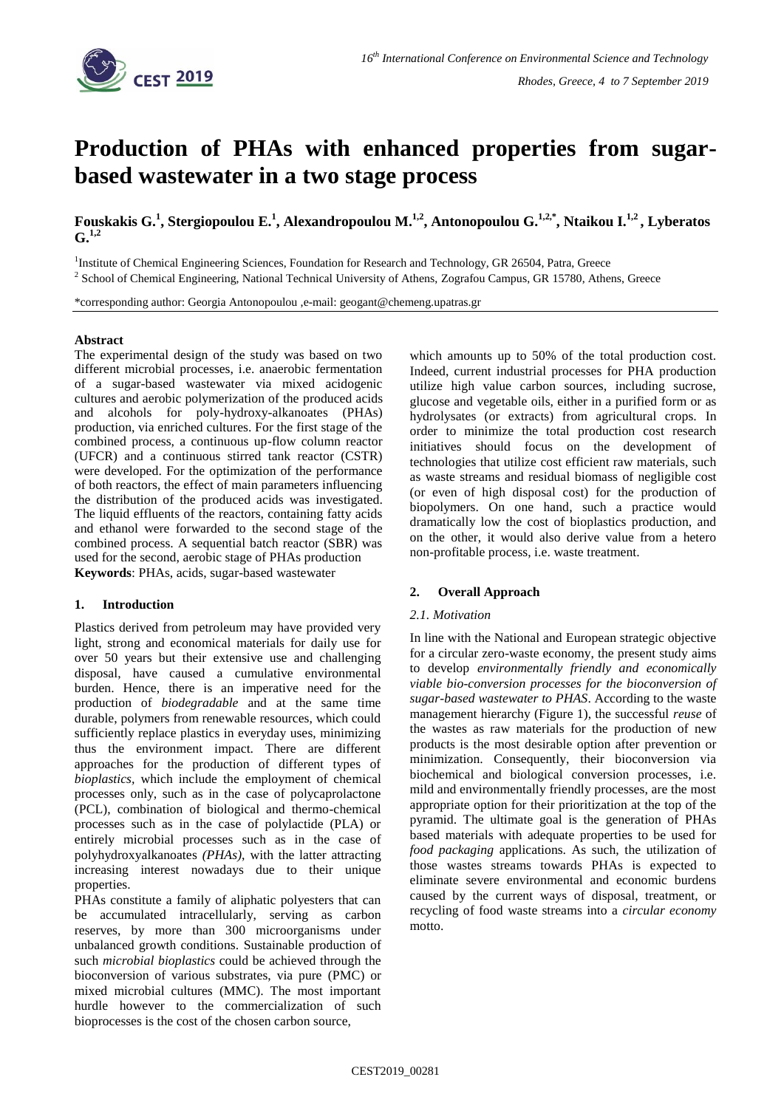

# **Production of PHAs with enhanced properties from sugarbased wastewater in a two stage process**

**Fouskakis G. 1 , Stergiopoulou E. 1 , Alexandropoulou M. 1,2 , Antonopoulou G. 1,2,\* , Ntaikou I. 1,2 , Lyberatos**  $G^{1,2}$ 

<sup>1</sup>Institute of Chemical Engineering Sciences, Foundation for Research and Technology, GR 26504, Patra, Greece <sup>2</sup> School of Chemical Engineering, National Technical University of Athens, Zografou Campus, GR 15780, Athens, Greece

\*corresponding author: Georgia Antonopoulou ,e-mail: geogant@chemeng.upatras.gr

### **Abstract**

The experimental design of the study was based on two different microbial processes, i.e. anaerobic fermentation of a sugar-based wastewater via mixed acidogenic cultures and aerobic polymerization of the produced acids and alcohols for poly-hydroxy-alkanoates (PHAs) production, via enriched cultures. For the first stage of the combined process, a continuous up-flow column reactor (UFCR) and a continuous stirred tank reactor (CSTR) were developed. For the optimization of the performance of both reactors, the effect of main parameters influencing the distribution of the produced acids was investigated. The liquid effluents of the reactors, containing fatty acids and ethanol were forwarded to the second stage of the combined process. A sequential batch reactor (SBR) was used for the second, aerobic stage of PHAs production **Keywords**: PHAs, acids, sugar-based wastewater

## **1. Introduction**

Plastics derived from petroleum may have provided very light, strong and economical materials for daily use for over 50 years but their extensive use and challenging disposal, have caused a cumulative environmental burden. Hence, there is an imperative need for the production of *biodegradable* and at the same time durable, polymers from renewable resources, which could sufficiently replace plastics in everyday uses, minimizing thus the environment impact. There are different approaches for the production of different types of *bioplastics,* which include the employment of chemical processes only, such as in the case of polycaprolactone (PCL), combination of biological and thermo-chemical processes such as in the case of polylactide (PLA) or entirely microbial processes such as in the case of polyhydroxyalkanoates *(PHAs)*, with the latter attracting increasing interest nowadays due to their unique properties.

PHAs constitute a family of aliphatic polyesters that can be accumulated intracellularly, serving as carbon reserves, by more than 300 microorganisms under unbalanced growth conditions. Sustainable production of such *microbial bioplastics* could be achieved through the bioconversion of various substrates, via pure (PMC) or mixed microbial cultures (MMC). The most important hurdle however to the commercialization of such bioprocesses is the cost of the chosen carbon source,

which amounts up to 50% of the total production cost. Indeed, current industrial processes for PHA production utilize high value carbon sources, including sucrose, glucose and vegetable oils, either in a purified form or as hydrolysates (or extracts) from agricultural crops. In order to minimize the total production cost research initiatives should focus on the development of technologies that utilize cost efficient raw materials, such as waste streams and residual biomass of negligible cost (or even of high disposal cost) for the production of biopolymers. On one hand, such a practice would dramatically low the cost of bioplastics production, and on the other, it would also derive value from a hetero non-profitable process, i.e. waste treatment.

#### **2. Overall Approach**

#### *2.1. Motivation*

In line with the National and European strategic objective for a circular zero-waste economy, the present study aims to develop *environmentally friendly and economically viable bio-conversion processes for the bioconversion of sugar-based wastewater to PHAS*. According to the waste management hierarchy (Figure 1), the successful *reuse* of the wastes as raw materials for the production of new products is the most desirable option after prevention or minimization. Consequently, their bioconversion via biochemical and biological conversion processes, i.e. mild and environmentally friendly processes, are the most appropriate option for their prioritization at the top of the pyramid. The ultimate goal is the generation of PHAs based materials with adequate properties to be used for *food packaging* applications. As such, the utilization of those wastes streams towards PHAs is expected to eliminate severe environmental and economic burdens caused by the current ways of disposal, treatment, or recycling of food waste streams into a *circular economy* motto.